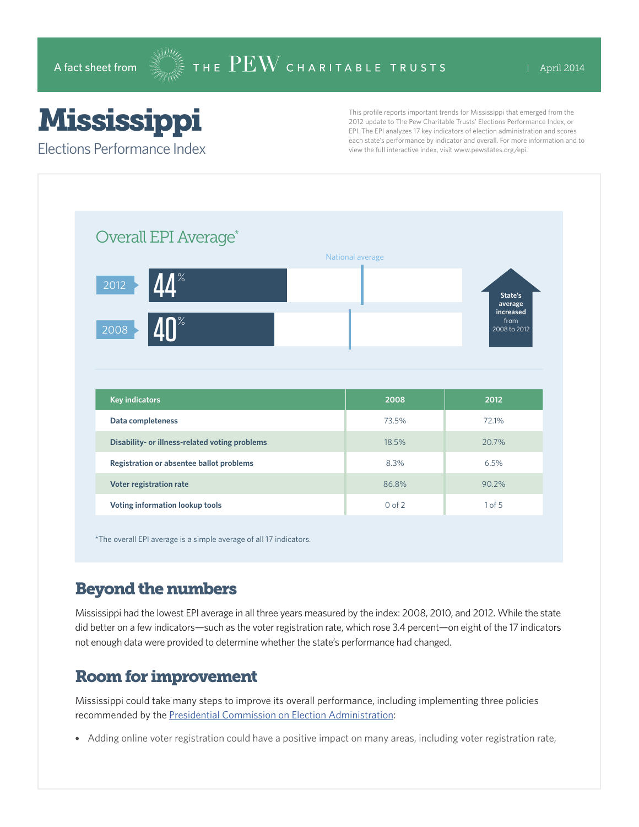## Mississippi

Elections Performance Index

This profile reports important trends for Mississippi that emerged from the 2012 update to The Pew Charitable Trusts' Elections Performance Index, or EPI. The EPI analyzes 17 key indicators of election administration and scores each state's performance by indicator and overall. For more information and to view the full interactive index, visit www.pewstates.org/epi.

| Overall EPI Average*                                                                       |                  |                      |
|--------------------------------------------------------------------------------------------|------------------|----------------------|
|                                                                                            | National average |                      |
| $\frac{9}{6}$<br>2012                                                                      |                  | State's<br>average   |
|                                                                                            |                  | increased            |
| n%<br>2008                                                                                 |                  | from<br>2008 to 2012 |
|                                                                                            |                  |                      |
|                                                                                            |                  |                      |
| <b>Key indicators</b>                                                                      | 2008             | 2012                 |
| Data completeness                                                                          | 73.5%            | 72.1%                |
| Disability- or illness-related voting problems<br>Registration or absentee ballot problems | 18.5%<br>8.3%    | 20.7%<br>6.5%        |

\*The overall EPI average is a simple average of all 17 indicators.

## Beyond the numbers

Mississippi had the lowest EPI average in all three years measured by the index: 2008, 2010, and 2012. While the state did better on a few indicators—such as the voter registration rate, which rose 3.4 percent—on eight of the 17 indicators not enough data were provided to determine whether the state's performance had changed.

## Room for improvement

Mississippi could take many steps to improve its overall performance, including implementing three policies recommended by the [Presidential Commission on Election Administration](http://www.supportthevoter.gov/):

• Adding online voter registration could have a positive impact on many areas, including voter registration rate,